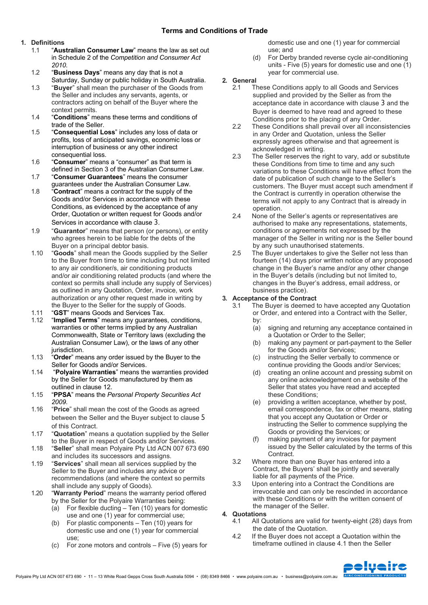### **Terms and Conditions of Trade**

#### **1. Definitions**

- 1.1 "**Australian Consumer Law**" means the law as set out in Schedule 2 of the *Competition and Consumer Act 2010*.
- 1.2 "**Business Days**" means any day that is not a Saturday, Sunday or public holiday in South Australia.
- 1.3 "**Buyer**" shall mean the purchaser of the Goods from the Seller and includes any servants, agents, or contractors acting on behalf of the Buyer where the context permits.
- 1.4 "**Conditions**" means these terms and conditions of trade of the Seller.
- 1.5 "**Consequential Loss**" includes any loss of data or profits, loss of anticipated savings, economic loss or interruption of business or any other indirect consequential loss.
- 1.6 "**Consumer**" means a "consumer" as that term is defined in Section 3 of the Australian Consumer Law.
- 1.7 "**Consumer Guarantees**" means the consumer guarantees under the Australian Consumer Law.
- 1.8 "**Contract**" means a contract for the supply of the Goods and/or Services in accordance with these Conditions, as evidenced by the acceptance of any Order, Quotation or written request for Goods and/or Services in accordance with clause 3.
- 1.9 "**Guarantor**" means that person (or persons), or entity who agrees herein to be liable for the debts of the Buyer on a principal debtor basis.
- 1.10 "**Goods**" shall mean the Goods supplied by the Seller to the Buyer from time to time including but not limited to any air conditioner/s, air conditioning products and/or air conditioning related products (and where the context so permits shall include any supply of Services) as outlined in any Quotation, Order, invoice, work authorization or any other request made in writing by the Buyer to the Seller for the supply of Goods.
- 1.11 "**GST**" means Goods and Services Tax.
- 1.12 "**Implied Terms**" means any guarantees, conditions, warranties or other terms implied by any Australian Commonwealth, State or Territory laws (excluding the Australian Consumer Law), or the laws of any other jurisdiction.
- 1.13 "**Order**" means any order issued by the Buyer to the Seller for Goods and/or Services.
- 1.14 "**Polyaire Warranties**" means the warranties provided by the Seller for Goods manufactured by them as outlined in clause 12.
- 1.15 "**PPSA**" means the *Personal Property Securities Act 2009*.
- 1.16 "**Price**" shall mean the cost of the Goods as agreed between the Seller and the Buyer subject to clause 5 of this Contract.
- 1.17 "**Quotation**" means a quotation supplied by the Seller to the Buyer in respect of Goods and/or Services.
- 1.18 "**Seller**" shall mean Polyaire Pty Ltd ACN 007 673 690 and includes its successors and assigns.
- 1.19 "**Services**" shall mean all services supplied by the Seller to the Buyer and includes any advice or recommendations (and where the context so permits shall include any supply of Goods).
- 1.20 "**Warranty Period**" means the warranty period offered by the Seller for the Polyaire Warranties being:
	- (a) For flexible ducting Ten (10) years for domestic use and one (1) year for commercial use;
	- (b) For plastic components Ten (10) years for domestic use and one (1) year for commercial use;
	- (c) For zone motors and controls Five (5) years for

domestic use and one (1) year for commercial use; and

- (d) For Derby branded reverse cycle air-conditioning units - Five (5) years for domestic use and one (1) year for commercial use.
- **2. General**
	- 2.1 These Conditions apply to all Goods and Services supplied and provided by the Seller as from the acceptance date in accordance with clause 3 and the Buyer is deemed to have read and agreed to these Conditions prior to the placing of any Order.
		- 2.2 These Conditions shall prevail over all inconsistencies in any Order and Quotation, unless the Seller expressly agrees otherwise and that agreement is acknowledged in writing.
		- 2.3 The Seller reserves the right to vary, add or substitute these Conditions from time to time and any such variations to these Conditions will have effect from the date of publication of such change to the Seller's customers. The Buyer must accept such amendment if the Contract is currently in operation otherwise the terms will not apply to any Contract that is already in operation.
		- 2.4 None of the Seller's agents or representatives are authorised to make any representations, statements, conditions or agreements not expressed by the manager of the Seller in writing nor is the Seller bound by any such unauthorised statements.
		- 2.5 The Buyer undertakes to give the Seller not less than fourteen (14) days prior written notice of any proposed change in the Buyer's name and/or any other change in the Buyer's details (including but not limited to, changes in the Buyer's address, email address, or business practice).

### **3. Acceptance of the Contract**

- 3.1 The Buyer is deemed to have accepted any Quotation or Order, and entered into a Contract with the Seller, by:
	- (a) signing and returning any acceptance contained in a Quotation or Order to the Seller;
	- (b) making any payment or part-payment to the Seller for the Goods and/or Services;
	- (c) instructing the Seller verbally to commence or continue providing the Goods and/or Services;
	- (d) creating an online account and pressing submit on any online acknowledgement on a website of the Seller that states you have read and accepted these Conditions;
	- (e) providing a written acceptance, whether by post, email correspondence, fax or other means, stating that you accept any Quotation or Order or instructing the Seller to commence supplying the Goods or providing the Services; or
	- (f) making payment of any invoices for payment issued by the Seller calculated by the terms of this Contract.
- 3.2 Where more than one Buyer has entered into a Contract, the Buyers' shall be jointly and severally liable for all payments of the Price.
- 3.3 Upon entering into a Contract the Conditions are irrevocable and can only be rescinded in accordance with these Conditions or with the written consent of the manager of the Seller.
- **4. Quotations**
	- 4.1 All Quotations are valid for twenty-eight (28) days from the date of the Quotation.
	- 4.2 If the Buyer does not accept a Quotation within the timeframe outlined in clause 4.1 then the Seller

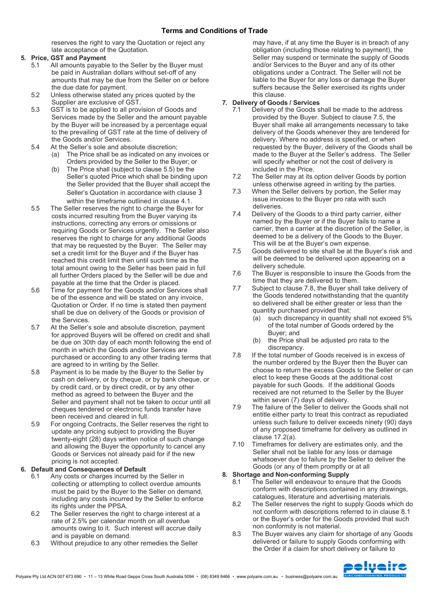reserves the right to vary the Quotation or reject any late acceptance of the Quotation.

#### **5. Price, GST and Payment**

- 5.1 All amounts payable to the Seller by the Buyer must be paid in Australian dollars without set-off of any amounts that may be due from the Seller on or before the due date for payment.
- 5.2 Unless otherwise stated any prices quoted by the Supplier are exclusive of GST.
- 5.3 GST is to be applied to all provision of Goods and Services made by the Seller and the amount payable by the Buyer will be increased by a percentage equal to the prevailing of GST rate at the time of delivery of the Goods and/or Services.
- 5.4 At the Seller's sole and absolute discretion;
	- (a) The Price shall be as indicated on any invoices or Orders provided by the Seller to the Buyer; or
	- (b) The Price shall (subject to clause 5.5) be the Seller's quoted Price which shall be binding upon the Seller provided that the Buyer shall accept the Seller's Quotation in accordance with clause 3 within the timeframe outlined in clause 4.1.
- 5.5 The Seller reserves the right to charge the Buyer for costs incurred resulting from the Buyer varying its instructions, correcting any errors or omissions or requiring Goods or Services urgently. The Seller also reserves the right to charge for any additional Goods that may be requested by the Buyer. The Seller may set a credit limit for the Buyer and if the Buyer has reached this credit limit then until such time as the total amount owing to the Seller has been paid in full all further Orders placed by the Seller will be due and payable at the time that the Order is placed.
- 5.6 Time for payment for the Goods and/or Services shall be of the essence and will be stated on any invoice, Quotation or Order. If no time is stated then payment shall be due on delivery of the Goods or provision of the Services.
- 5.7 At the Seller's sole and absolute discretion, payment for approved Buyers will be offered on credit and shall be due on 30th day of each month following the end of month in which the Goods and/or Services are purchased or according to any other trading terms that are agreed to in writing by the Seller.
- 5.8 Payment is to be made by the Buyer to the Seller by cash on delivery, or by cheque, or by bank cheque, or by credit card, or by direct credit, or by any other method as agreed to between the Buyer and the Seller and payment shall not be taken to occur until all cheques tendered or electronic funds transfer have been received and cleared in full.
- 5.9 For ongoing Contracts, the Seller reserves the right to update any pricing subject to providing the Buyer twenty-eight (28) days written notice of such change and allowing the Buyer the opportunity to cancel any Goods or Services not already paid for if the new pricing is not accepted.

#### **6. Default and Consequences of Default**

- 6.1 Any costs or charges incurred by the Seller in collecting or attempting to collect overdue amounts must be paid by the Buyer to the Seller on demand, including any costs incurred by the Seller to enforce its rights under the PPSA.
- 6.2 The Seller reserves the right to charge interest at a rate of 2.5% per calendar month on all overdue amounts owing to it. Such interest will accrue daily and is payable on demand.
- 6.3 Without prejudice to any other remedies the Seller

may have, if at any time the Buyer is in breach of any obligation (including those relating to payment), the Seller may suspend or terminate the supply of Goods and/or Services to the Buyer and any of its other obligations under a Contract. The Seller will not be liable to the Buyer for any loss or damage the Buyer suffers because the Seller exercised its rights under this clause.

#### **7. Delivery of Goods / Services**

- 7.1 Delivery of the Goods shall be made to the address provided by the Buyer. Subject to clause 7.5, the Buyer shall make all arrangements necessary to take delivery of the Goods whenever they are tendered for delivery. Where no address is specified, or when requested by the Buyer, delivery of the Goods shall be made to the Buyer at the Seller's address. The Seller will specify whether or not the cost of delivery is included in the Price.
- 7.2 The Seller may at its option deliver Goods by portion unless otherwise agreed in writing by the parties.
- 7.3 When the Seller delivers by portion, the Seller may issue invoices to the Buyer pro rata with such deliveries.
- 7.4 Delivery of the Goods to a third party carrier, either named by the Buyer or if the Buyer fails to name a carrier, then a carrier at the discretion of the Seller, is deemed to be a delivery of the Goods to the Buyer. This will be at the Buyer's own expense.
- 7.5 Goods delivered to site shall be at the Buyer's risk and will be deemed to be delivered upon appearing on a delivery schedule.
- 7.6 The Buyer is responsible to insure the Goods from the time that they are delivered to them.
- 7.7 Subject to clause 7.8, the Buyer shall take delivery of the Goods tendered notwithstanding that the quantity so delivered shall be either greater or less than the quantity purchased provided that:
	- (a) such discrepancy in quantity shall not exceed 5% of the total number of Goods ordered by the Buyer; and
	- (b) the Price shall be adjusted pro rata to the discrepancy.
- 7.8 If the total number of Goods received is in excess of the number ordered by the Buyer then the Buyer can choose to return the excess Goods to the Seller or can elect to keep these Goods at the additional cost payable for such Goods. If the additional Goods received are not returned to the Seller by the Buyer within seven (7) days of delivery.
- 7.9 The failure of the Seller to deliver the Goods shall not entitle either party to treat this contract as repudiated unless such failure to deliver exceeds ninety (90) days of any proposed timeframe for delivery as outlined in clause 17.2(a).
- 7.10 Timeframes for delivery are estimates only, and the Seller shall not be liable for any loss or damage whatsoever due to failure by the Seller to deliver the Goods (or any of them promptly or at all

#### **8. Shortage and Non-conforming Supply**

- 8.1 The Seller will endeavour to ensure that the Goods conform with descriptions contained in any drawings, catalogues, literature and advertising materials.
- 8.2 The Seller reserves the right to supply Goods which do not conform with descriptions referred to in clause 8.1 or the Buyer's order for the Goods provided that such non conformity is not material.
- 8.3 The Buyer waives any claim for shortage of any Goods delivered or failure to supply Goods conforming with the Order if a claim for short delivery or failure to

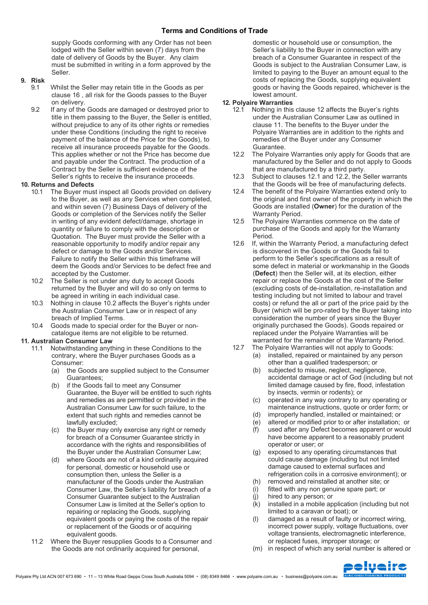supply Goods conforming with any Order has not been lodged with the Seller within seven (7) days from the date of delivery of Goods by the Buyer. Any claim must be submitted in writing in a form approved by the Seller.

#### **9. Risk**

- 9.1 Whilst the Seller may retain title in the Goods as per clause 16 , all risk for the Goods passes to the Buyer on delivery.
- 9.2 If any of the Goods are damaged or destroyed prior to title in them passing to the Buyer, the Seller is entitled, without prejudice to any of its other rights or remedies under these Conditions (including the right to receive payment of the balance of the Price for the Goods), to receive all insurance proceeds payable for the Goods. This applies whether or not the Price has become due and payable under the Contract. The production of a Contract by the Seller is sufficient evidence of the Seller's rights to receive the insurance proceeds.

# **10. Returns and Defects**

- The Buyer must inspect all Goods provided on delivery to the Buyer, as well as any Services when completed, and within seven (7) Business Days of delivery of the Goods or completion of the Services notify the Seller in writing of any evident defect/damage, shortage in quantity or failure to comply with the description or Quotation. The Buyer must provide the Seller with a reasonable opportunity to modify and/or repair any defect or damage to the Goods and/or Services. Failure to notify the Seller within this timeframe will deem the Goods and/or Services to be defect free and accepted by the Customer.
- 10.2 The Seller is not under any duty to accept Goods returned by the Buyer and will do so only on terms to be agreed in writing in each individual case.
- 10.3 Nothing in clause 10.2 affects the Buyer's rights under the Australian Consumer Law or in respect of any breach of Implied Terms.
- 10.4 Goods made to special order for the Buyer or noncatalogue items are not eligible to be returned.

#### **11. Australian Consumer Law**

- 11.1 Notwithstanding anything in these Conditions to the contrary, where the Buyer purchases Goods as a Consumer:
	- (a) the Goods are supplied subject to the Consumer Guarantees;
	- (b) if the Goods fail to meet any Consumer Guarantee, the Buyer will be entitled to such rights and remedies as are permitted or provided in the Australian Consumer Law for such failure, to the extent that such rights and remedies cannot be lawfully excluded;
	- (c) the Buyer may only exercise any right or remedy for breach of a Consumer Guarantee strictly in accordance with the rights and responsibilities of the Buyer under the Australian Consumer Law;
	- (d) where Goods are not of a kind ordinarily acquired for personal, domestic or household use or consumption then, unless the Seller is a manufacturer of the Goods under the Australian Consumer Law, the Seller's liability for breach of a Consumer Guarantee subject to the Australian Consumer Law is limited at the Seller's option to repairing or replacing the Goods, supplying equivalent goods or paying the costs of the repair or replacement of the Goods or of acquiring equivalent goods.
- 11.2 Where the Buyer resupplies Goods to a Consumer and the Goods are not ordinarily acquired for personal,

domestic or household use or consumption, the Seller's liability to the Buyer in connection with any breach of a Consumer Guarantee in respect of the Goods is subject to the Australian Consumer Law, is limited to paying to the Buyer an amount equal to the costs of replacing the Goods, supplying equivalent goods or having the Goods repaired, whichever is the lowest amount.

#### **12. Polyaire Warranties**

- 12.1 Nothing in this clause 12 affects the Buyer's rights under the Australian Consumer Law as outlined in clause 11. The benefits to the Buyer under the Polyaire Warranties are in addition to the rights and remedies of the Buyer under any Consumer Guarantee.
- 12.2 The Polyaire Warranties only apply for Goods that are manufactured by the Seller and do not apply to Goods that are manufactured by a third party.
- 12.3 Subject to clauses 12.1 and 12.2, the Seller warrants that the Goods will be free of manufacturing defects.
- 12.4 The benefit of the Polyaire Warranties extend only to the original and first owner of the property in which the Goods are installed (**Owner**) for the duration of the Warranty Period.
- 12.5 The Polyaire Warranties commence on the date of purchase of the Goods and apply for the Warranty Period.
- 12.6 If, within the Warranty Period, a manufacturing defect is discovered in the Goods or the Goods fail to perform to the Seller's specifications as a result of some defect in material or workmanship in the Goods (**Defect**) then the Seller will, at its election, either repair or replace the Goods at the cost of the Seller (excluding costs of de-installation, re-installation and testing including but not limited to labour and travel costs) or refund the all or part of the price paid by the Buyer (which will be pro-rated by the Buyer taking into consideration the number of years since the Buyer originally purchased the Goods). Goods repaired or replaced under the Polyaire Warranties will be warranted for the remainder of the Warranty Period.
- 12.7 The Polyaire Warranties will not apply to Goods:
	- (a) installed, repaired or maintained by any person other than a qualified tradesperson; or
	- (b) subjected to misuse, neglect, negligence, accidental damage or act of God (including but not limited damage caused by fire, flood, infestation by insects, vermin or rodents); or
	- (c) operated in any way contrary to any operating or maintenance instructions, quote or order form; or
	- (d) improperly handled, installed or maintained; or
	- (e) altered or modified prior to or after installation; or
	- (f) used after any Defect becomes apparent or would have become apparent to a reasonably prudent operator or user; or
	- (g) exposed to any operating circumstances that could cause damage (including but not limited damage caused to external surfaces and refrigeration coils in a corrosive environment); or
	- (h) removed and reinstalled at another site; or
	- (i) fitted with any non genuine spare part; or
	- (j) hired to any person; or
	- (k) installed in a mobile application (including but not limited to a caravan or boat); or
	- (l) damaged as a result of faulty or incorrect wiring, incorrect power supply, voltage fluctuations, over voltage transients, electromagnetic interference, or replaced fuses, improper storage; or
	- (m) in respect of which any serial number is altered or

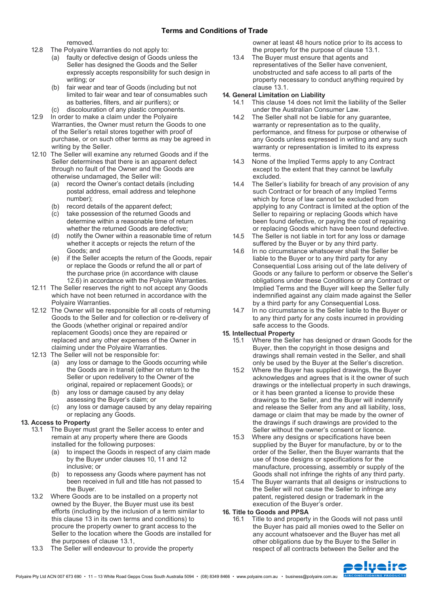### **Terms and Conditions of Trade**

removed.

- 12.8 The Polyaire Warranties do not apply to:
	- (a) faulty or defective design of Goods unless the Seller has designed the Goods and the Seller expressly accepts responsibility for such design in writing; or
	- (b) fair wear and tear of Goods (including but not limited to fair wear and tear of consumables such as batteries, filters, and air purifiers); or
	- (c) discolouration of any plastic components.
- 12.9 In order to make a claim under the Polyaire Warranties, the Owner must return the Goods to one of the Seller's retail stores together with proof of purchase, or on such other terms as may be agreed in writing by the Seller.
- 12.10 The Seller will examine any returned Goods and if the Seller determines that there is an apparent defect through no fault of the Owner and the Goods are otherwise undamaged, the Seller will:
	- (a) record the Owner's contact details (including postal address, email address and telephone number);
	- (b) record details of the apparent defect;
	- (c) take possession of the returned Goods and determine within a reasonable time of return whether the returned Goods are defective;
	- (d) notify the Owner within a reasonable time of return whether it accepts or rejects the return of the Goods; and
	- (e) if the Seller accepts the return of the Goods, repair or replace the Goods or refund the all or part of the purchase price (in accordance with clause 12.6) in accordance with the Polyaire Warranties.
- 12.11 The Seller reserves the right to not accept any Goods which have not been returned in accordance with the Polyaire Warranties.
- 12.12 The Owner will be responsible for all costs of returning Goods to the Seller and for collection or re-delivery of the Goods (whether original or repaired and/or replacement Goods) once they are repaired or replaced and any other expenses of the Owner in claiming under the Polyaire Warranties.
- 12.13 The Seller will not be responsible for:
	- (a) any loss or damage to the Goods occurring while the Goods are in transit (either on return to the Seller or upon redelivery to the Owner of the original, repaired or replacement Goods); or
	- (b) any loss or damage caused by any delay assessing the Buyer's claim; or
	- (c) any loss or damage caused by any delay repairing or replacing any Goods.

#### **13. Access to Property**

- 13.1 The Buver must grant the Seller access to enter and remain at any property where there are Goods installed for the following purposes:
	- (a) to inspect the Goods in respect of any claim made by the Buyer under clauses 10, 11 and 12 inclusive; or
	- (b) to repossess any Goods where payment has not been received in full and title has not passed to the Buyer.
- 13.2 Where Goods are to be installed on a property not owned by the Buyer, the Buyer must use its best efforts (including by the inclusion of a term similar to this clause 13 in its own terms and conditions) to procure the property owner to grant access to the Seller to the location where the Goods are installed for the purposes of clause 13.1,
- 13.3 The Seller will endeavour to provide the property

owner at least 48 hours notice prior to its access to the property for the purpose of clause 13.1.

13.4 The Buyer must ensure that agents and representatives of the Seller have convenient, unobstructed and safe access to all parts of the property necessary to conduct anything required by clause 13.1.

#### **14. General Limitation on Liability**

- 14.1 This clause 14 does not limit the liability of the Seller under the Australian Consumer Law.
- 14.2 The Seller shall not be liable for any guarantee, warranty or representation as to the quality, performance, and fitness for purpose or otherwise of any Goods unless expressed in writing and any such warranty or representation is limited to its express terms.
- 14.3 None of the Implied Terms apply to any Contract except to the extent that they cannot be lawfully excluded.
- 14.4 The Seller's liability for breach of any provision of any such Contract or for breach of any Implied Terms which by force of law cannot be excluded from applying to any Contract is limited at the option of the Seller to repairing or replacing Goods which have been found defective, or paying the cost of repairing or replacing Goods which have been found defective.
- 14.5 The Seller is not liable in tort for any loss or damage suffered by the Buyer or by any third party.
- 14.6 In no circumstance whatsoever shall the Seller be liable to the Buyer or to any third party for any Consequential Loss arising out of the late delivery of Goods or any failure to perform or observe the Seller's obligations under these Conditions or any Contract or Implied Terms and the Buyer will keep the Seller fully indemnified against any claim made against the Seller by a third party for any Consequential Loss.
- 14.7 In no circumstance is the Seller liable to the Buyer or to any third party for any costs incurred in providing safe access to the Goods.

#### **15. Intellectual Property**

- 15.1 Where the Seller has designed or drawn Goods for the Buyer, then the copyright in those designs and drawings shall remain vested in the Seller, and shall only be used by the Buyer at the Seller's discretion.
- 15.2 Where the Buyer has supplied drawings, the Buyer acknowledges and agrees that is it the owner of such drawings or the intellectual property in such drawings, or it has been granted a license to provide these drawings to the Seller, and the Buyer will indemnify and release the Seller from any and all liability, loss, damage or claim that may be made by the owner of the drawings if such drawings are provided to the Seller without the owner's consent or licence.
- 15.3 Where any designs or specifications have been supplied by the Buyer for manufacture, by or to the order of the Seller, then the Buyer warrants that the use of those designs or specifications for the manufacture, processing, assembly or supply of the Goods shall not infringe the rights of any third party.
- 15.4 The Buyer warrants that all designs or instructions to the Seller will not cause the Seller to infringe any patent, registered design or trademark in the execution of the Buyer's order.

#### **16. Title to Goods and PPSA**

16.1 Title to and property in the Goods will not pass until the Buyer has paid all monies owed to the Seller on any account whatsoever and the Buyer has met all other obligations due by the Buyer to the Seller in respect of all contracts between the Seller and the

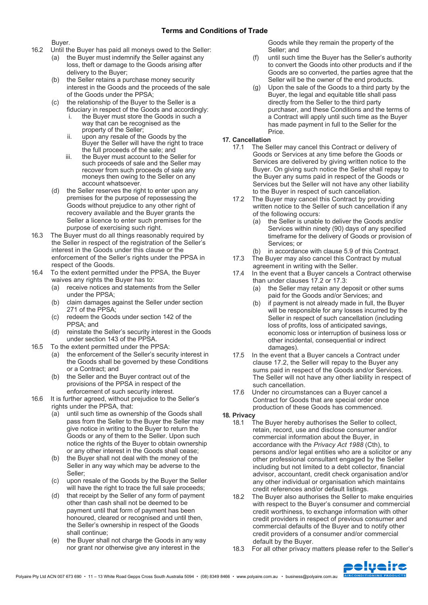Buyer.

- 16.2 Until the Buyer has paid all moneys owed to the Seller:
	- (a) the Buyer must indemnify the Seller against any loss, theft or damage to the Goods arising after delivery to the Buyer;
	- (b) the Seller retains a purchase money security interest in the Goods and the proceeds of the sale of the Goods under the PPSA;
	- (c) the relationship of the Buyer to the Seller is a fiduciary in respect of the Goods and accordingly:
		- the Buyer must store the Goods in such a way that can be recognised as the property of the Seller;
		- ii. upon any resale of the Goods by the Buyer the Seller will have the right to trace the full proceeds of the sale; and
		- iii. the Buyer must account to the Seller for such proceeds of sale and the Seller may recover from such proceeds of sale any moneys then owing to the Seller on any account whatsoever.
	- (d) the Seller reserves the right to enter upon any premises for the purpose of repossessing the Goods without prejudice to any other right of recovery available and the Buyer grants the Seller a licence to enter such premises for the purpose of exercising such right.
- 16.3 The Buyer must do all things reasonably required by the Seller in respect of the registration of the Seller's interest in the Goods under this clause or the enforcement of the Seller's rights under the PPSA in respect of the Goods.
- 16.4 To the extent permitted under the PPSA, the Buyer waives any rights the Buyer has to:
	- (a) receive notices and statements from the Seller under the PPSA;
	- (b) claim damages against the Seller under section 271 of the PPSA;
	- (c) redeem the Goods under section 142 of the PPSA; and
	- (d) reinstate the Seller's security interest in the Goods under section 143 of the PPSA.
- 16.5 To the extent permitted under the PPSA:
	- (a) the enforcement of the Seller's security interest in the Goods shall be governed by these Conditions or a Contract; and
	- (b) the Seller and the Buyer contract out of the provisions of the PPSA in respect of the enforcement of such security interest.
- 16.6 It is further agreed, without prejudice to the Seller's rights under the PPSA, that:
	- (a) until such time as ownership of the Goods shall pass from the Seller to the Buyer the Seller may give notice in writing to the Buyer to return the Goods or any of them to the Seller. Upon such notice the rights of the Buyer to obtain ownership or any other interest in the Goods shall cease;
	- (b) the Buyer shall not deal with the money of the Seller in any way which may be adverse to the Seller;
	- (c) upon resale of the Goods by the Buyer the Seller will have the right to trace the full sale proceeds:
	- (d) that receipt by the Seller of any form of payment other than cash shall not be deemed to be payment until that form of payment has been honoured, cleared or recognised and until then, the Seller's ownership in respect of the Goods shall continue;
	- (e) the Buyer shall not charge the Goods in any way nor grant nor otherwise give any interest in the

Goods while they remain the property of the Seller; and

- (f) until such time the Buyer has the Seller's authority to convert the Goods into other products and if the Goods are so converted, the parties agree that the Seller will be the owner of the end products.
- (g) Upon the sale of the Goods to a third party by the Buyer, the legal and equitable title shall pass directly from the Seller to the third party purchaser, and these Conditions and the terms of a Contract will apply until such time as the Buyer has made payment in full to the Seller for the Price.
- **17. Cancellation**
	- The Seller may cancel this Contract or delivery of Goods or Services at any time before the Goods or Services are delivered by giving written notice to the Buyer. On giving such notice the Seller shall repay to the Buyer any sums paid in respect of the Goods or Services but the Seller will not have any other liability to the Buyer in respect of such cancellation.
	- 17.2 The Buyer may cancel this Contract by providing written notice to the Seller of such cancellation if any of the following occurs:
		- (a) the Seller is unable to deliver the Goods and/or Services within ninety (90) days of any specified timeframe for the delivery of Goods or provision of Services; or
	- (b) in accordance with clause 5.9 of this Contract. 17.3 The Buyer may also cancel this Contract by mutual
	- agreement in writing with the Seller. 17.4 In the event that a Buyer cancels a Contract otherwise
	- than under clauses 17.2 or 17.3:
		- (a) the Seller may retain any deposit or other sums paid for the Goods and/or Services; and
		- (b) if payment is not already made in full, the Buyer will be responsible for any losses incurred by the Seller in respect of such cancellation (including loss of profits, loss of anticipated savings, economic loss or interruption of business loss or other incidental, consequential or indirect damages).
	- 17.5 In the event that a Buyer cancels a Contract under clause 17.2, the Seller will repay to the Buyer any sums paid in respect of the Goods and/or Services. The Seller will not have any other liability in respect of such cancellation.
	- 17.6 Under no circumstances can a Buyer cancel a Contract for Goods that are special order once production of these Goods has commenced.

**18. Privacy**

- The Buyer hereby authorises the Seller to collect. retain, record, use and disclose consumer and/or commercial information about the Buyer, in accordance with the *Privacy Act 1988* (Cth), to persons and/or legal entities who are a solicitor or any other professional consultant engaged by the Seller including but not limited to a debt collector, financial advisor, accountant, credit check organisation and/or any other individual or organisation which maintains credit references and/or default listings.
- 18.2 The Buyer also authorises the Seller to make enquiries with respect to the Buyer's consumer and commercial credit worthiness, to exchange information with other credit providers in respect of previous consumer and commercial defaults of the Buyer and to notify other credit providers of a consumer and/or commercial default by the Buyer.
- 18.3 For all other privacy matters please refer to the Seller's